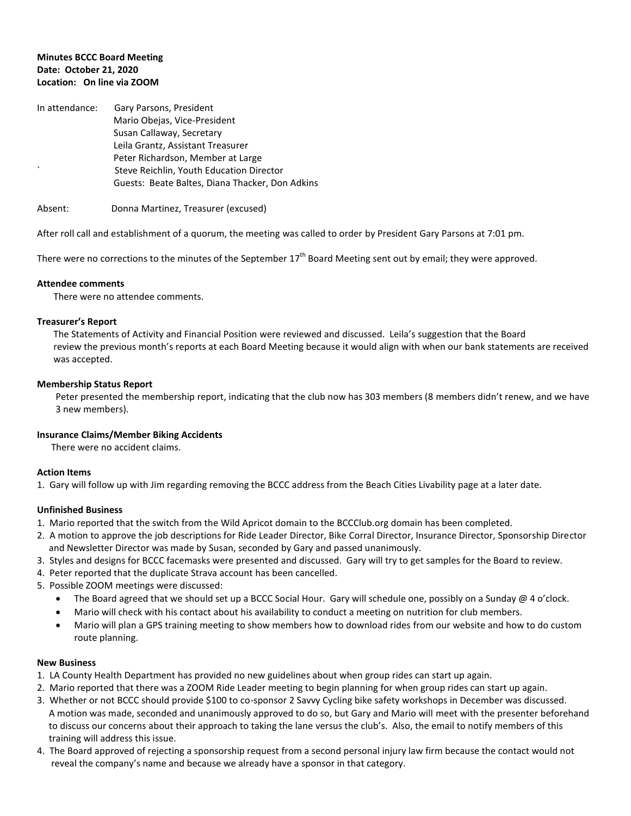## **Minutes BCCC Board Meeting Date: October 21, 2020 Location: On line via ZOOM**

| In attendance: | Gary Parsons, President                         |
|----------------|-------------------------------------------------|
|                | Mario Obejas, Vice-President                    |
|                | Susan Callaway, Secretary                       |
|                | Leila Grantz, Assistant Treasurer               |
|                | Peter Richardson, Member at Large               |
| $\cdot$        | Steve Reichlin, Youth Education Director        |
|                | Guests: Beate Baltes, Diana Thacker, Don Adkins |

Absent: Donna Martinez, Treasurer (excused)

After roll call and establishment of a quorum, the meeting was called to order by President Gary Parsons at 7:01 pm.

There were no corrections to the minutes of the September  $17<sup>th</sup>$  Board Meeting sent out by email; they were approved.

### **Attendee comments**

There were no attendee comments.

### **Treasurer's Report**

 The Statements of Activity and Financial Position were reviewed and discussed. Leila's suggestion that the Board review the previous month's reports at each Board Meeting because it would align with when our bank statements are received was accepted.

### **Membership Status Report**

Peter presented the membership report, indicating that the club now has 303 members (8 members didn't renew, and we have 3 new members).

### **Insurance Claims/Member Biking Accidents**

There were no accident claims.

### **Action Items**

1. Gary will follow up with Jim regarding removing the BCCC address from the Beach Cities Livability page at a later date.

# **Unfinished Business**

- 1. Mario reported that the switch from the Wild Apricot domain to the BCCClub.org domain has been completed.
- 2. A motion to approve the job descriptions for Ride Leader Director, Bike Corral Director, Insurance Director, Sponsorship Director and Newsletter Director was made by Susan, seconded by Gary and passed unanimously.
- 3. Styles and designs for BCCC facemasks were presented and discussed. Gary will try to get samples for the Board to review.
- 4. Peter reported that the duplicate Strava account has been cancelled.
- 5. Possible ZOOM meetings were discussed:
	- The Board agreed that we should set up a BCCC Social Hour. Gary will schedule one, possibly on a Sunday @ 4 o'clock.
	- Mario will check with his contact about his availability to conduct a meeting on nutrition for club members.
	- Mario will plan a GPS training meeting to show members how to download rides from our website and how to do custom route planning.

# **New Business**

- 1. LA County Health Department has provided no new guidelines about when group rides can start up again.
- 2. Mario reported that there was a ZOOM Ride Leader meeting to begin planning for when group rides can start up again.
- 3. Whether or not BCCC should provide \$100 to co-sponsor 2 Savvy Cycling bike safety workshops in December was discussed. A motion was made, seconded and unanimously approved to do so, but Gary and Mario will meet with the presenter beforehand to discuss our concerns about their approach to taking the lane versus the club's. Also, the email to notify members of this training will address this issue.
- 4. The Board approved of rejecting a sponsorship request from a second personal injury law firm because the contact would not reveal the company's name and because we already have a sponsor in that category.